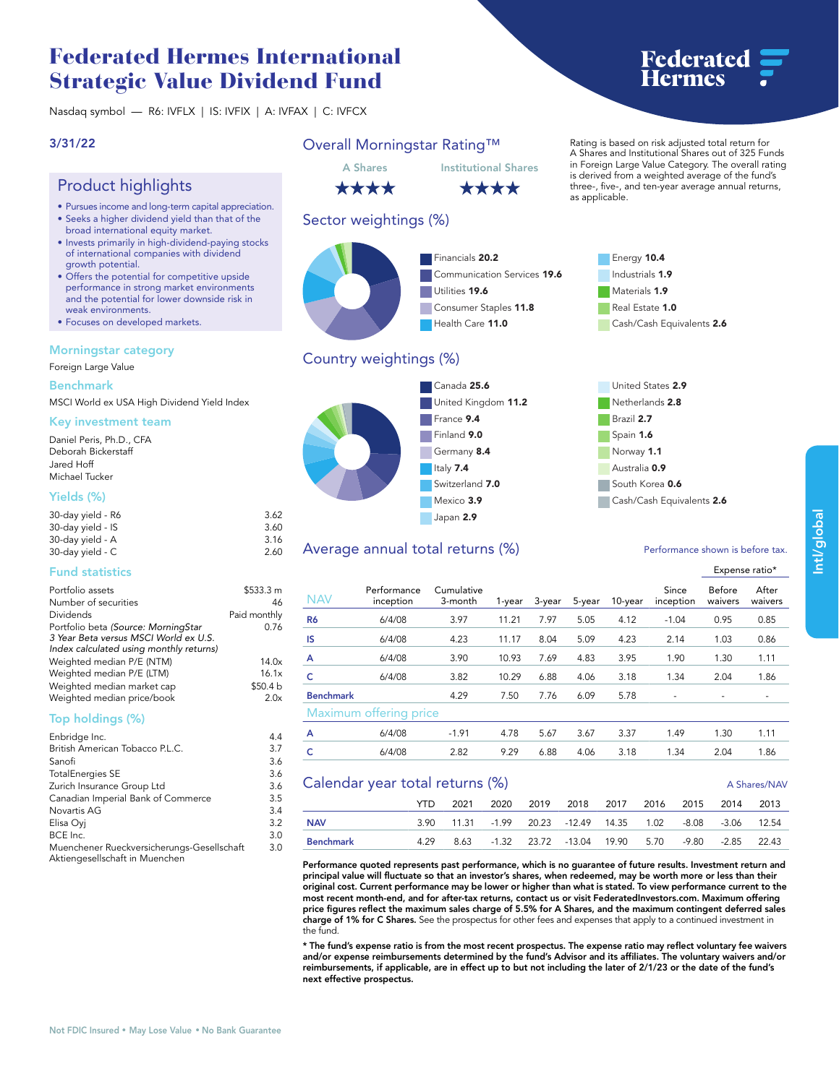# **Federated Hermes International Strategic Value Dividend Fund**

**Nasdaq symbol — R6: IVFLX | IS: IVFIX | A: IVFAX | C: IVFCX**

## **3/31/22**

## **Product highlights**

- **• Pursues income and long-term capital appreciation.**
- **• Seeks a higher dividend yield than that of the broad international equity market.**
- **• Invests primarily in high-dividend-paying stocks of international companies with dividend growth potential.**
- **• Offers the potential for competitive upside performance in strong market environments and the potential for lower downside risk in weak environments.**
- **• Focuses on developed markets.**

### **Morningstar category**

**Foreign Large Value**

**Benchmark**

**MSCI World ex USA High Dividend Yield Index**

#### **Key investment team**

**Daniel Peris, Ph.D., CFA Deborah Bickerstaff Jared Hoff Michael Tucker**

## **Yields (%)**

| 30-day yield - R6 | 3.62 |
|-------------------|------|
| 30-day yield - IS | 3.60 |
| 30-day yield - A  | 3.16 |
| 30-day yield - C  | 2.60 |

### **Fund statistics**

| Portfolio assets                        | \$533.3 m    |
|-----------------------------------------|--------------|
| Number of securities                    | 46           |
| Dividends                               | Paid monthly |
| Portfolio beta (Source: MorningStar     | 0.76         |
| 3 Year Beta versus MSCI World ex U.S.   |              |
| Index calculated using monthly returns) |              |
| Weighted median P/E (NTM)               | 14.0x        |
| Weighted median P/E (LTM)               | 16.1x        |
| Weighted median market cap              | \$50.4 b     |
| Weighted median price/book              | 2.0x         |
| $T_{\text{max}}$ is a fallowed $10/3$   |              |

### **Top holdings (%)**

| Enbridge Inc.                                                                | 4.4 |
|------------------------------------------------------------------------------|-----|
| British American Tobacco P.L.C.                                              | 3.7 |
| Sanofi                                                                       | 3.6 |
| <b>TotalEnergies SE</b>                                                      | 3.6 |
| Zurich Insurance Group Ltd                                                   | 3.6 |
| Canadian Imperial Bank of Commerce                                           | 3.5 |
| Novartis AG                                                                  | 3.4 |
| Elisa Ovi                                                                    | 3.2 |
| BCE Inc.                                                                     | 3.0 |
| Muenchener Rueckversicherungs-Gesellschaft<br>Aktiengesellschaft in Muenchen | 3.0 |

**3.0**

## **Overall Morningstar Rating™**

**A Shares Institutional Shares** \*\*\*\*

## **Sector weightings (%)**



## **Country weightings (%)**



## Average annual total returns (%) *Performance shown is before tax.*

|                  |                          |                       |        |        |        |         |                    | $-$ , p $-$ , is $-$ , see $-$ |                  |
|------------------|--------------------------|-----------------------|--------|--------|--------|---------|--------------------|--------------------------------|------------------|
| <b>NAV</b>       | Performance<br>inception | Cumulative<br>3-month | 1-year | 3-year | 5-year | 10-year | Since<br>inception | Before<br>waivers              | After<br>waivers |
| R <sub>6</sub>   | 6/4/08                   | 3.97                  | 11.21  | 7.97   | 5.05   | 4.12    | $-1.04$            | 0.95                           | 0.85             |
| IS               | 6/4/08                   | 4.23                  | 11.17  | 8.04   | 5.09   | 4.23    | 2.14               | 1.03                           | 0.86             |
| A                | 6/4/08                   | 3.90                  | 10.93  | 7.69   | 4.83   | 3.95    | 1.90               | 1.30                           | 1.11             |
| c                | 6/4/08                   | 3.82                  | 10.29  | 6.88   | 4.06   | 3.18    | 1.34               | 2.04                           | 1.86             |
| <b>Benchmark</b> |                          | 4.29                  | 7.50   | 7.76   | 6.09   | 5.78    |                    |                                |                  |
|                  | Maximum offering price   |                       |        |        |        |         |                    |                                |                  |
| A                | 6/4/08                   | $-1.91$               | 4.78   | 5.67   | 3.67   | 3.37    | 1.49               | 1.30                           | 1.11             |
| c                | 6/4/08                   | 2.82                  | 9.29   | 6.88   | 4.06   | 3.18    | 1.34               | 2.04                           | 1.86             |
|                  |                          |                       |        |        |        |         |                    |                                |                  |

## **Calendar year total returns (%) A Shares/NAV**

|            | YTD. | 2021 |  | 2020 2019 2018 2017 2016 2015 2014 2013                    |  |  |  |
|------------|------|------|--|------------------------------------------------------------|--|--|--|
| <b>NAV</b> |      |      |  | 3.90 11.31 -1.99 20.23 -12.49 14.35 1.02 -8.08 -3.06 12.54 |  |  |  |
| Benchmark  | 4.29 |      |  | 8.63 -1.32 23.72 -13.04 19.90 5.70 -9.80 -2.85 22.43       |  |  |  |

**Performance quoted represents past performance, which is no guarantee of future results. Investment return and**  principal value will fluctuate so that an investor's shares, when redeemed, may be worth more or less than their<br>original cost. Current performance may be lower or higher than what is stated. To view performance current to **most recent month-end, and for after-tax returns, contact us or visit [FederatedInvestors.com.](www.federatedinvestors.com) Maximum offering price figures reflect the maximum sales charge of 5.5% for A Shares, and the maximum contingent deferred sales charge of 1% for C Shares. See the prospectus for other fees and expenses that apply to a continued investment in the fund.**

**\* The fund's expense ratio is from the most recent prospectus. The expense ratio may reflect voluntary fee waivers and/or expense reimbursements determined by the fund's Advisor and its affiliates. The voluntary waivers and/or reimbursements, if applicable, are in effect up to but not including the later of 2/1/23 or the date of the fund's next effective prospectus.**



**Rating is based on risk adjusted total return for A Shares and Institutional Shares out of 325 Funds in Foreign Large Value Category. The overall rating is derived from a weighted average of the fund's three-, five-, and ten-year average annual returns, as applicable.**

> **Energy 10.4 Industrials 1.9 Materials 1.9 Real Estate 1.0**

**Cash/Cash Equivalents 2.6**

**United States 2.9 Netherlands 2.8 Brazil 2.7 Spain 1.6 Norway 1.1 Australia 0.9 South Korea 0.6 Cash/Cash Equivalents 2.6**



**Expense ratio\***

# \*\*\*\*